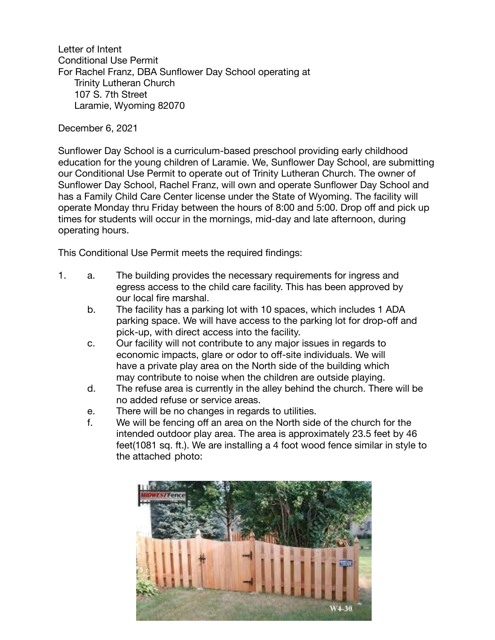Letter of Intent Conditional Use Permit For Rachel Franz, DBA Sunflower Day School operating at Trinity Lutheran Church 107 S. 7th Street Laramie, Wyoming 82070

December 6, 2021

Sunflower Day School is a curriculum-based preschool providing early childhood education for the young children of Laramie. We, Sunflower Day School, are submitting our Conditional Use Permit to operate out of Trinity Lutheran Church. The owner of Sunflower Day School, Rachel Franz, will own and operate Sunflower Day School and has a Family Child Care Center license under the State of Wyoming. The facility will operate Monday thru Friday between the hours of 8:00 and 5:00. Drop off and pick up times for students will occur in the mornings, mid-day and late afternoon, during operating hours.

This Conditional Use Permit meets the required findings:

- 1. a. The building provides the necessary requirements for ingress and egress access to the child care facility. This has been approved by our local fire marshal.
	- b. The facility has a parking lot with 10 spaces, which includes 1 ADA parking space. We will have access to the parking lot for drop-off and pick-up, with direct access into the facility.
	- c. Our facility will not contribute to any major issues in regards to economic impacts, glare or odor to off-site individuals. We will have a private play area on the North side of the building which may contribute to noise when the children are outside playing.
	- d. The refuse area is currently in the alley behind the church. There will be no added refuse or service areas.
	- e. There will be no changes in regards to utilities.
	- f. We will be fencing off an area on the North side of the church for the intended outdoor play area. The area is approximately 23.5 feet by 46 feet(1081 sq. ft.). We are installing a 4 foot wood fence similar in style to the attached photo: